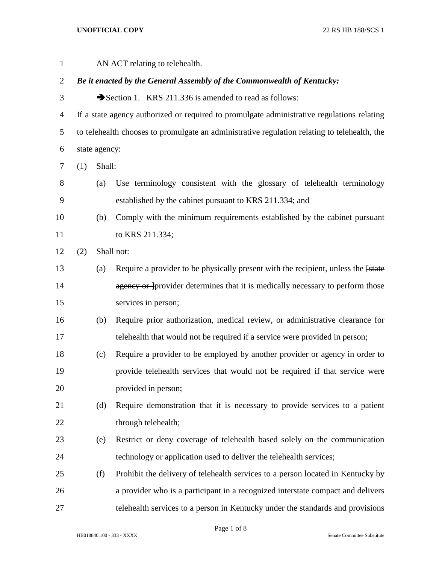## **UNOFFICIAL COPY** 22 RS HB 188/SCS 1

| $\mathbf{1}$   |                                                                                            |               | AN ACT relating to telehealth.                                                               |
|----------------|--------------------------------------------------------------------------------------------|---------------|----------------------------------------------------------------------------------------------|
| $\overline{2}$ | Be it enacted by the General Assembly of the Commonwealth of Kentucky:                     |               |                                                                                              |
| 3              |                                                                                            |               | Section 1. KRS 211.336 is amended to read as follows:                                        |
| 4              | If a state agency authorized or required to promulgate administrative regulations relating |               |                                                                                              |
| 5              |                                                                                            |               | to telehealth chooses to promulgate an administrative regulation relating to telehealth, the |
| 6              |                                                                                            | state agency: |                                                                                              |
| 7              | (1)                                                                                        | Shall:        |                                                                                              |
| 8              |                                                                                            | (a)           | Use terminology consistent with the glossary of telehealth terminology                       |
| 9              |                                                                                            |               | established by the cabinet pursuant to KRS 211.334; and                                      |
| 10             |                                                                                            | (b)           | Comply with the minimum requirements established by the cabinet pursuant                     |
| 11             |                                                                                            |               | to KRS 211.334;                                                                              |
| 12             | (2)                                                                                        |               | Shall not:                                                                                   |
| 13             |                                                                                            | (a)           | Require a provider to be physically present with the recipient, unless the [state]           |
| 14             |                                                                                            |               | agency or provider determines that it is medically necessary to perform those                |
| 15             |                                                                                            |               | services in person;                                                                          |
| 16             |                                                                                            | (b)           | Require prior authorization, medical review, or administrative clearance for                 |
| 17             |                                                                                            |               | telehealth that would not be required if a service were provided in person;                  |
| 18             |                                                                                            | (c)           | Require a provider to be employed by another provider or agency in order to                  |
| 19             |                                                                                            |               | provide telehealth services that would not be required if that service were                  |
| 20             |                                                                                            |               | provided in person;                                                                          |
| 21             |                                                                                            | (d)           | Require demonstration that it is necessary to provide services to a patient                  |
| 22             |                                                                                            |               | through telehealth;                                                                          |
| 23             |                                                                                            | (e)           | Restrict or deny coverage of telehealth based solely on the communication                    |
| 24             |                                                                                            |               | technology or application used to deliver the telehealth services;                           |
| 25             |                                                                                            | (f)           | Prohibit the delivery of telehealth services to a person located in Kentucky by              |
| 26             |                                                                                            |               | a provider who is a participant in a recognized interstate compact and delivers              |
| 27             |                                                                                            |               | telehealth services to a person in Kentucky under the standards and provisions               |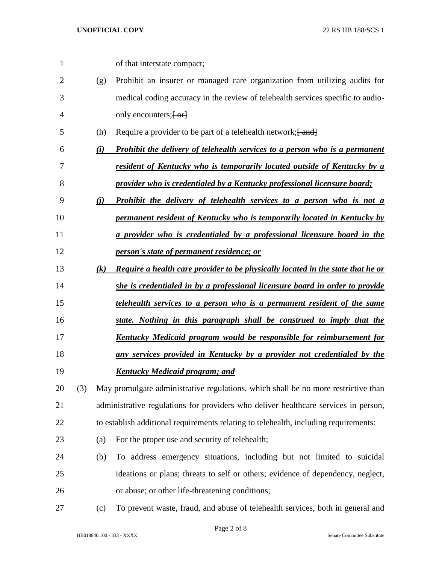| $\mathbf{1}$   |     |     | of that interstate compact;                                                          |
|----------------|-----|-----|--------------------------------------------------------------------------------------|
| $\overline{2}$ |     | (g) | Prohibit an insurer or managed care organization from utilizing audits for           |
| 3              |     |     | medical coding accuracy in the review of telehealth services specific to audio-      |
| 4              |     |     | only encounters; $\left\{ -\alpha \right\}$                                          |
| 5              |     | (h) | Require a provider to be part of a telehealth network; [ and]                        |
| 6              |     | (i) | <b>Prohibit the delivery of telehealth services to a person who is a permanent</b>   |
| 7              |     |     | <u>resident of Kentucky who is temporarily located outside of Kentucky by a</u>      |
| 8              |     |     | provider who is credentialed by a Kentucky professional licensure board;             |
| 9              |     | (i) | <b>Prohibit the delivery of telehealth services to a person who is not a</b>         |
| 10             |     |     | permanent resident of Kentucky who is temporarily located in Kentucky by             |
| 11             |     |     | a provider who is credentialed by a professional licensure board in the              |
| 12             |     |     | person's state of permanent residence; or                                            |
| 13             |     | (k) | Require a health care provider to be physically located in the state that he or      |
| 14             |     |     | she is credentialed in by a professional licensure board in order to provide         |
| 15             |     |     | <u>telehealth services to a person who is a permanent resident of the same</u>       |
| 16             |     |     | state. Nothing in this paragraph shall be construed to imply that the                |
| 17             |     |     | <u>Kentucky Medicaid program would be responsible for reimbursement for</u>          |
| 18             |     |     | any services provided in Kentucky by a provider not credentialed by the              |
| 19             |     |     | <u>Kentucky Medicaid program; and</u>                                                |
| 20             | (3) |     | May promulgate administrative regulations, which shall be no more restrictive than   |
| 21             |     |     | administrative regulations for providers who deliver healthcare services in person,  |
| 22             |     |     | to establish additional requirements relating to telehealth, including requirements: |
| 23             |     | (a) | For the proper use and security of telehealth;                                       |
| 24             |     | (b) | To address emergency situations, including but not limited to suicidal               |
| 25             |     |     | ideations or plans; threats to self or others; evidence of dependency, neglect,      |
| 26             |     |     | or abuse; or other life-threatening conditions;                                      |
| 27             |     | (c) | To prevent waste, fraud, and abuse of telehealth services, both in general and       |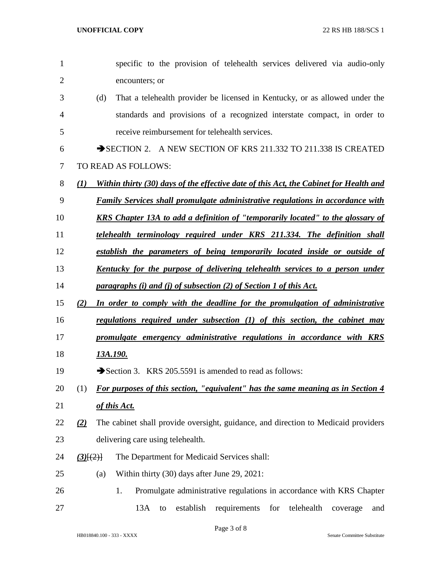| 1              |                  |     | specific to the provision of telehealth services delivered via audio-only              |
|----------------|------------------|-----|----------------------------------------------------------------------------------------|
| $\overline{2}$ |                  |     | encounters; or                                                                         |
| 3              |                  | (d) | That a telehealth provider be licensed in Kentucky, or as allowed under the            |
| 4              |                  |     | standards and provisions of a recognized interstate compact, in order to               |
| 5              |                  |     | receive reimbursement for telehealth services.                                         |
| 6              |                  |     | SECTION 2. A NEW SECTION OF KRS 211.332 TO 211.338 IS CREATED                          |
| 7              |                  |     | TO READ AS FOLLOWS:                                                                    |
| 8              | $\mathcal{L}(I)$ |     | Within thirty (30) days of the effective date of this Act, the Cabinet for Health and  |
| 9              |                  |     | Family Services shall promulgate administrative regulations in accordance with         |
| 10             |                  |     | <b>KRS</b> Chapter 13A to add a definition of "temporarily located" to the glossary of |
| 11             |                  |     | telehealth terminology required under KRS 211.334. The definition shall                |
| 12             |                  |     | establish the parameters of being temporarily located inside or outside of             |
| 13             |                  |     | Kentucky for the purpose of delivering telehealth services to a person under           |
| 14             |                  |     | paragraphs (i) and (j) of subsection (2) of Section 1 of this Act.                     |
| 15             | (2)              |     | In order to comply with the deadline for the promulgation of administrative            |
| 16             |                  |     | regulations required under subsection (1) of this section, the cabinet may             |
| 17             |                  |     | promulgate emergency administrative regulations in accordance with KRS                 |
| 18             |                  |     | 13A.190.                                                                               |
| 19             |                  |     | Section 3. KRS 205.5591 is amended to read as follows:                                 |
| 20             | (1)              |     | For purposes of this section, "equivalent" has the same meaning as in Section 4        |
| 21             |                  |     | of this Act.                                                                           |
| 22             | (2)              |     | The cabinet shall provide oversight, guidance, and direction to Medicaid providers     |
| 23             |                  |     | delivering care using telehealth.                                                      |
| 24             | (3)(2)           |     | The Department for Medicaid Services shall:                                            |
| 25             |                  | (a) | Within thirty (30) days after June 29, 2021:                                           |
| 26             |                  |     | Promulgate administrative regulations in accordance with KRS Chapter<br>1.             |
| 27             |                  |     | for telehealth<br>13A<br>establish<br>requirements<br>to<br>coverage<br>and            |
|                |                  |     |                                                                                        |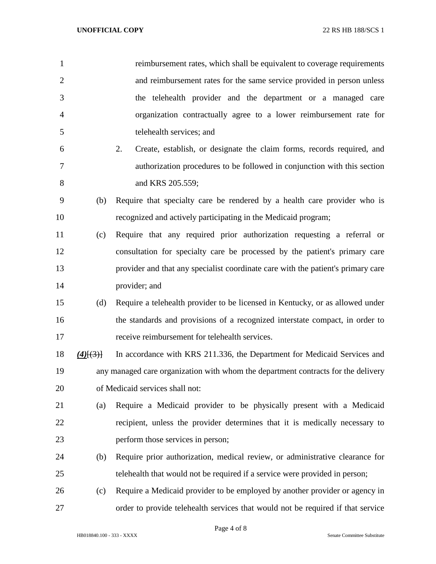| $\mathbf{1}$   |                    | reimbursement rates, which shall be equivalent to coverage requirements           |
|----------------|--------------------|-----------------------------------------------------------------------------------|
| $\overline{2}$ |                    | and reimbursement rates for the same service provided in person unless            |
| 3              |                    | the telehealth provider and the department or a managed care                      |
| $\overline{4}$ |                    | organization contractually agree to a lower reimbursement rate for                |
| 5              |                    | telehealth services; and                                                          |
| 6              |                    | Create, establish, or designate the claim forms, records required, and<br>2.      |
| $\overline{7}$ |                    | authorization procedures to be followed in conjunction with this section          |
| 8              |                    | and KRS 205.559;                                                                  |
| 9              | (b)                | Require that specialty care be rendered by a health care provider who is          |
| 10             |                    | recognized and actively participating in the Medicaid program;                    |
| 11             | (c)                | Require that any required prior authorization requesting a referral or            |
| 12             |                    | consultation for specialty care be processed by the patient's primary care        |
| 13             |                    | provider and that any specialist coordinate care with the patient's primary care  |
| 14             |                    | provider; and                                                                     |
| 15             | (d)                | Require a telehealth provider to be licensed in Kentucky, or as allowed under     |
| 16             |                    | the standards and provisions of a recognized interstate compact, in order to      |
| 17             |                    | receive reimbursement for telehealth services.                                    |
| 18             | $\frac{4}{(4)(3)}$ | In accordance with KRS 211.336, the Department for Medicaid Services and          |
| 19             |                    | any managed care organization with whom the department contracts for the delivery |
| 20             |                    | of Medicaid services shall not:                                                   |
| 21             | (a)                | Require a Medicaid provider to be physically present with a Medicaid              |
| 22             |                    | recipient, unless the provider determines that it is medically necessary to       |
| 23             |                    | perform those services in person;                                                 |
| 24             | (b)                | Require prior authorization, medical review, or administrative clearance for      |
| 25             |                    | telehealth that would not be required if a service were provided in person;       |
| 26             | (c)                | Require a Medicaid provider to be employed by another provider or agency in       |
| 27             |                    | order to provide telehealth services that would not be required if that service   |

Page 4 of 8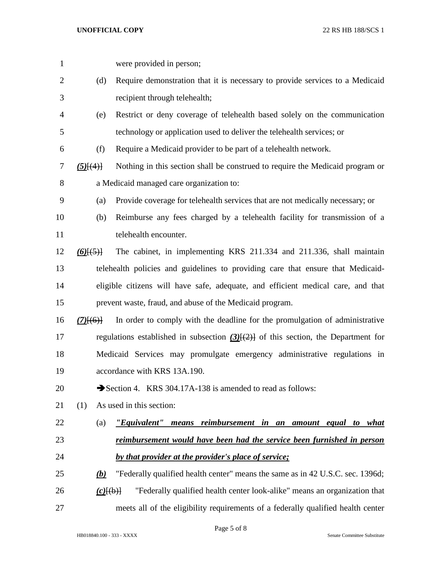| $\mathbf{1}$ |                    | were provided in person;                                                                  |
|--------------|--------------------|-------------------------------------------------------------------------------------------|
| 2            | (d)                | Require demonstration that it is necessary to provide services to a Medicaid              |
| 3            |                    | recipient through telehealth;                                                             |
| 4            | (e)                | Restrict or deny coverage of telehealth based solely on the communication                 |
| 5            |                    | technology or application used to deliver the telehealth services; or                     |
| 6            | (f)                | Require a Medicaid provider to be part of a telehealth network.                           |
| 7            | $(5)$ [ $(4)$ ]    | Nothing in this section shall be construed to require the Medicaid program or             |
| 8            |                    | a Medicaid managed care organization to:                                                  |
| 9            | (a)                | Provide coverage for telehealth services that are not medically necessary; or             |
| 10           | (b)                | Reimburse any fees charged by a telehealth facility for transmission of a                 |
| 11           |                    | telehealth encounter.                                                                     |
| 12           | $(6)$ [ $(5)$ ]    | The cabinet, in implementing KRS 211.334 and 211.336, shall maintain                      |
| 13           |                    | telehealth policies and guidelines to providing care that ensure that Medicaid-           |
| 14           |                    | eligible citizens will have safe, adequate, and efficient medical care, and that          |
| 15           |                    | prevent waste, fraud, and abuse of the Medicaid program.                                  |
| 16           | $(7)$ [(6)]        | In order to comply with the deadline for the promulgation of administrative               |
| 17           |                    | regulations established in subsection $(3)$ [ $(2)$ ] of this section, the Department for |
| 18           |                    | Medicaid Services may promulgate emergency administrative regulations in                  |
| 19           |                    | accordance with KRS 13A.190.                                                              |
| 20           |                    | Section 4. KRS 304.17A-138 is amended to read as follows:                                 |
| 21           | (1)                | As used in this section:                                                                  |
| 22           | (a)                | means reimbursement in an amount equal to what<br>"Equivalent"                            |
| 23           |                    | reimbursement would have been had the service been furnished in person                    |
| 24           |                    | by that provider at the provider's place of service;                                      |
| 25           | <u>(b)</u>         | "Federally qualified health center" means the same as in 42 U.S.C. sec. 1396d;            |
| 26           | $(c)$ $\{\theta\}$ | "Federally qualified health center look-alike" means an organization that                 |
| 27           |                    | meets all of the eligibility requirements of a federally qualified health center          |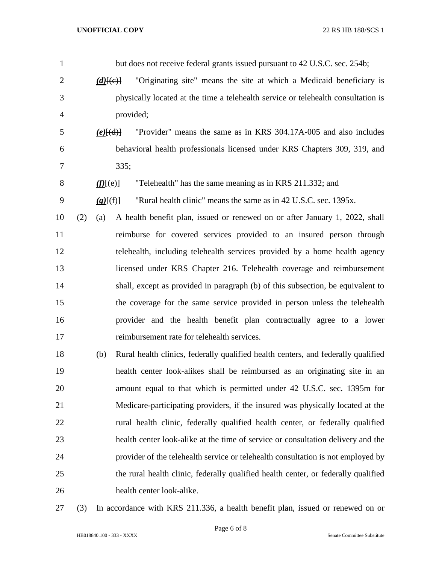| $\mathbf{1}$   |     |                | but does not receive federal grants issued pursuant to 42 U.S.C. sec. 254b;        |
|----------------|-----|----------------|------------------------------------------------------------------------------------|
| $\overline{2}$ |     | $(d)$ [(e)]    | "Originating site" means the site at which a Medicaid beneficiary is               |
| 3              |     |                | physically located at the time a telehealth service or telehealth consultation is  |
| 4              |     |                | provided;                                                                          |
| 5              |     | $(e)$ [(d)]    | "Provider" means the same as in KRS 304.17A-005 and also includes                  |
| 6              |     |                | behavioral health professionals licensed under KRS Chapters 309, 319, and          |
| 7              |     |                | 335;                                                                               |
| $8\,$          |     | $f(E(\theta))$ | "Telehealth" has the same meaning as in KRS 211.332; and                           |
| 9              |     | $(g)$ $(f)$    | "Rural health clinic" means the same as in 42 U.S.C. sec. 1395x.                   |
| 10             | (2) | (a)            | A health benefit plan, issued or renewed on or after January 1, 2022, shall        |
| 11             |     |                | reimburse for covered services provided to an insured person through               |
| 12             |     |                | telehealth, including telehealth services provided by a home health agency         |
| 13             |     |                | licensed under KRS Chapter 216. Telehealth coverage and reimbursement              |
| 14             |     |                | shall, except as provided in paragraph (b) of this subsection, be equivalent to    |
| 15             |     |                | the coverage for the same service provided in person unless the telehealth         |
| 16             |     |                | provider and the health benefit plan contractually agree to a lower                |
| 17             |     |                | reimbursement rate for telehealth services.                                        |
| 18             |     | (b)            | Rural health clinics, federally qualified health centers, and federally qualified  |
| 19             |     |                | health center look-alikes shall be reimbursed as an originating site in an         |
| 20             |     |                | amount equal to that which is permitted under 42 U.S.C. sec. 1395m for             |
| 21             |     |                | Medicare-participating providers, if the insured was physically located at the     |
| 22             |     |                | rural health clinic, federally qualified health center, or federally qualified     |
| 23             |     |                | health center look-alike at the time of service or consultation delivery and the   |
| 24             |     |                | provider of the telehealth service or telehealth consultation is not employed by   |
| 25             |     |                | the rural health clinic, federally qualified health center, or federally qualified |
| 26             |     |                | health center look-alike.                                                          |
| 27             | (3) |                | In accordance with KRS 211.336, a health benefit plan, issued or renewed on or     |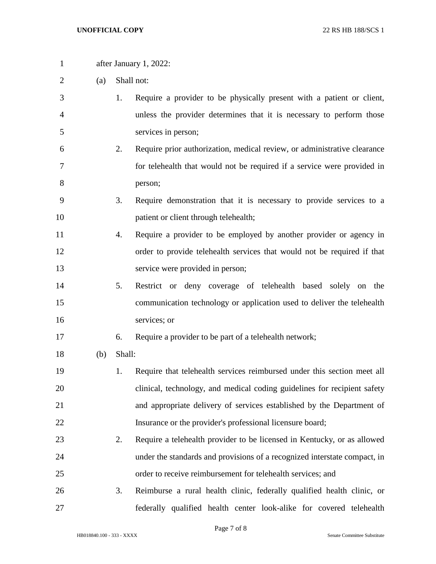after January 1, 2022: (a) Shall not: 1. Require a provider to be physically present with a patient or client, unless the provider determines that it is necessary to perform those services in person; 2. Require prior authorization, medical review, or administrative clearance for telehealth that would not be required if a service were provided in person; 3. Require demonstration that it is necessary to provide services to a 10 patient or client through telehealth; 4. Require a provider to be employed by another provider or agency in order to provide telehealth services that would not be required if that service were provided in person; 5. Restrict or deny coverage of telehealth based solely on the communication technology or application used to deliver the telehealth services; or 6. Require a provider to be part of a telehealth network; (b) Shall: 1. Require that telehealth services reimbursed under this section meet all clinical, technology, and medical coding guidelines for recipient safety and appropriate delivery of services established by the Department of 22 Insurance or the provider's professional licensure board; 2. Require a telehealth provider to be licensed in Kentucky, or as allowed under the standards and provisions of a recognized interstate compact, in order to receive reimbursement for telehealth services; and 3. Reimburse a rural health clinic, federally qualified health clinic, or

federally qualified health center look-alike for covered telehealth